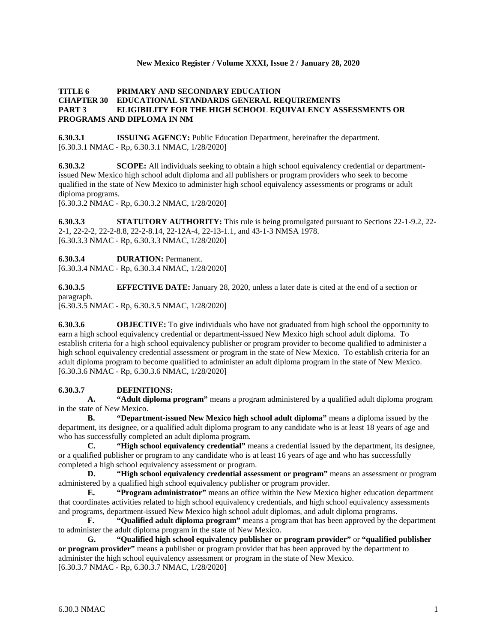#### **New Mexico Register / Volume XXXI, Issue 2 / January 28, 2020**

## **TITLE 6 PRIMARY AND SECONDARY EDUCATION CHAPTER 30 EDUCATIONAL STANDARDS GENERAL REQUIREMENTS PART 3 ELIGIBILITY FOR THE HIGH SCHOOL EQUIVALENCY ASSESSMENTS OR PROGRAMS AND DIPLOMA IN NM**

**6.30.3.1 ISSUING AGENCY:** Public Education Department, hereinafter the department. [6.30.3.1 NMAC - Rp, 6.30.3.1 NMAC, 1/28/2020]

**6.30.3.2 SCOPE:** All individuals seeking to obtain a high school equivalency credential or departmentissued New Mexico high school adult diploma and all publishers or program providers who seek to become qualified in the state of New Mexico to administer high school equivalency assessments or programs or adult diploma programs.

[6.30.3.2 NMAC - Rp, 6.30.3.2 NMAC, 1/28/2020]

**6.30.3.3 STATUTORY AUTHORITY:** This rule is being promulgated pursuant to Sections 22-1-9.2, 22- 2-1, 22-2-2, 22-2-8.8, 22-2-8.14, 22-12A-4, 22-13-1.1, and 43-1-3 NMSA 1978. [6.30.3.3 NMAC - Rp, 6.30.3.3 NMAC, 1/28/2020]

**6.30.3.4 DURATION:** Permanent.

[6.30.3.4 NMAC - Rp, 6.30.3.4 NMAC, 1/28/2020]

**6.30.3.5 EFFECTIVE DATE:** January 28, 2020, unless a later date is cited at the end of a section or paragraph.

[6.30.3.5 NMAC - Rp, 6.30.3.5 NMAC, 1/28/2020]

**6.30.3.6 OBJECTIVE:** To give individuals who have not graduated from high school the opportunity to earn a high school equivalency credential or department-issued New Mexico high school adult diploma. To establish criteria for a high school equivalency publisher or program provider to become qualified to administer a high school equivalency credential assessment or program in the state of New Mexico. To establish criteria for an adult diploma program to become qualified to administer an adult diploma program in the state of New Mexico. [6.30.3.6 NMAC - Rp, 6.30.3.6 NMAC, 1/28/2020]

## **6.30.3.7 DEFINITIONS:**

**A. "Adult diploma program"** means a program administered by a qualified adult diploma program in the state of New Mexico.

**B. "Department-issued New Mexico high school adult diploma"** means a diploma issued by the department, its designee, or a qualified adult diploma program to any candidate who is at least 18 years of age and who has successfully completed an adult diploma program.

**C. "High school equivalency credential"** means a credential issued by the department, its designee, or a qualified publisher or program to any candidate who is at least 16 years of age and who has successfully completed a high school equivalency assessment or program.

**D. "High school equivalency credential assessment or program"** means an assessment or program administered by a qualified high school equivalency publisher or program provider.

**E. "Program administrator"** means an office within the New Mexico higher education department that coordinates activities related to high school equivalency credentials, and high school equivalency assessments and programs, department-issued New Mexico high school adult diplomas, and adult diploma programs.

**F. "Qualified adult diploma program"** means a program that has been approved by the department to administer the adult diploma program in the state of New Mexico.

**G. "Qualified high school equivalency publisher or program provider"** or **"qualified publisher or program provider"** means a publisher or program provider that has been approved by the department to administer the high school equivalency assessment or program in the state of New Mexico. [6.30.3.7 NMAC - Rp, 6.30.3.7 NMAC, 1/28/2020]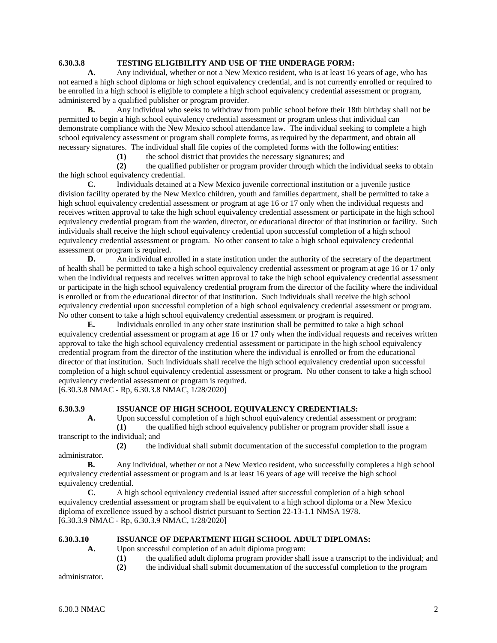## **6.30.3.8 TESTING ELIGIBILITY AND USE OF THE UNDERAGE FORM:**

**A.** Any individual, whether or not a New Mexico resident, who is at least 16 years of age, who has not earned a high school diploma or high school equivalency credential, and is not currently enrolled or required to be enrolled in a high school is eligible to complete a high school equivalency credential assessment or program, administered by a qualified publisher or program provider.

**B.** Any individual who seeks to withdraw from public school before their 18th birthday shall not be permitted to begin a high school equivalency credential assessment or program unless that individual can demonstrate compliance with the New Mexico school attendance law. The individual seeking to complete a high school equivalency assessment or program shall complete forms, as required by the department, and obtain all necessary signatures. The individual shall file copies of the completed forms with the following entities:

**(1)** the school district that provides the necessary signatures; and

**(2)** the qualified publisher or program provider through which the individual seeks to obtain the high school equivalency credential.

**C.** Individuals detained at a New Mexico juvenile correctional institution or a juvenile justice division facility operated by the New Mexico children, youth and families department, shall be permitted to take a high school equivalency credential assessment or program at age 16 or 17 only when the individual requests and receives written approval to take the high school equivalency credential assessment or participate in the high school equivalency credential program from the warden, director, or educational director of that institution or facility. Such individuals shall receive the high school equivalency credential upon successful completion of a high school equivalency credential assessment or program. No other consent to take a high school equivalency credential assessment or program is required.

**D.** An individual enrolled in a state institution under the authority of the secretary of the department of health shall be permitted to take a high school equivalency credential assessment or program at age 16 or 17 only when the individual requests and receives written approval to take the high school equivalency credential assessment or participate in the high school equivalency credential program from the director of the facility where the individual is enrolled or from the educational director of that institution. Such individuals shall receive the high school equivalency credential upon successful completion of a high school equivalency credential assessment or program. No other consent to take a high school equivalency credential assessment or program is required.

**E.** Individuals enrolled in any other state institution shall be permitted to take a high school equivalency credential assessment or program at age 16 or 17 only when the individual requests and receives written approval to take the high school equivalency credential assessment or participate in the high school equivalency credential program from the director of the institution where the individual is enrolled or from the educational director of that institution. Such individuals shall receive the high school equivalency credential upon successful completion of a high school equivalency credential assessment or program. No other consent to take a high school equivalency credential assessment or program is required.

[6.30.3.8 NMAC - Rp, 6.30.3.8 NMAC, 1/28/2020]

## **6.30.3.9 ISSUANCE OF HIGH SCHOOL EQUIVALENCY CREDENTIALS:**

**A.** Upon successful completion of a high school equivalency credential assessment or program: **(1)** the qualified high school equivalency publisher or program provider shall issue a

transcript to the individual; and

**(2)** the individual shall submit documentation of the successful completion to the program administrator.

**B.** Any individual, whether or not a New Mexico resident, who successfully completes a high school equivalency credential assessment or program and is at least 16 years of age will receive the high school equivalency credential.

**C.** A high school equivalency credential issued after successful completion of a high school equivalency credential assessment or program shall be equivalent to a high school diploma or a New Mexico diploma of excellence issued by a school district pursuant to Section 22-13-1.1 NMSA 1978. [6.30.3.9 NMAC - Rp, 6.30.3.9 NMAC, 1/28/2020]

#### **6.30.3.10 ISSUANCE OF DEPARTMENT HIGH SCHOOL ADULT DIPLOMAS:**

**A.** Upon successful completion of an adult diploma program:

**(1)** the qualified adult diploma program provider shall issue a transcript to the individual; and

**(2)** the individual shall submit documentation of the successful completion to the program

administrator.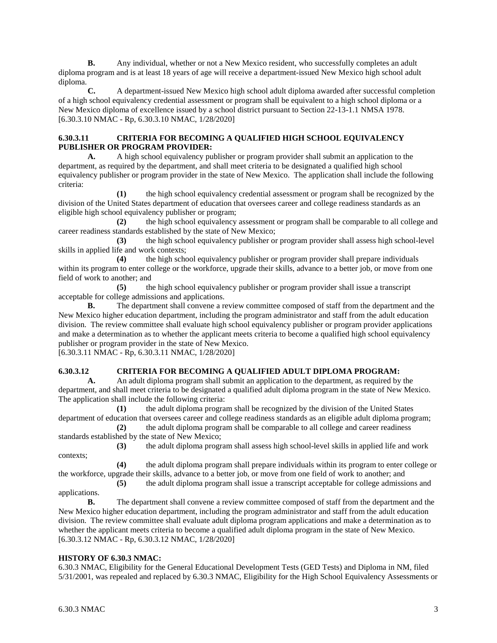**B.** Any individual, whether or not a New Mexico resident, who successfully completes an adult diploma program and is at least 18 years of age will receive a department-issued New Mexico high school adult diploma.

**C.** A department-issued New Mexico high school adult diploma awarded after successful completion of a high school equivalency credential assessment or program shall be equivalent to a high school diploma or a New Mexico diploma of excellence issued by a school district pursuant to Section 22-13-1.1 NMSA 1978. [6.30.3.10 NMAC - Rp, 6.30.3.10 NMAC, 1/28/2020]

## **6.30.3.11 CRITERIA FOR BECOMING A QUALIFIED HIGH SCHOOL EQUIVALENCY PUBLISHER OR PROGRAM PROVIDER:**

**A.** A high school equivalency publisher or program provider shall submit an application to the department, as required by the department, and shall meet criteria to be designated a qualified high school equivalency publisher or program provider in the state of New Mexico. The application shall include the following criteria:

**(1)** the high school equivalency credential assessment or program shall be recognized by the division of the United States department of education that oversees career and college readiness standards as an eligible high school equivalency publisher or program;

**(2)** the high school equivalency assessment or program shall be comparable to all college and career readiness standards established by the state of New Mexico;

**(3)** the high school equivalency publisher or program provider shall assess high school-level skills in applied life and work contexts;

**(4)** the high school equivalency publisher or program provider shall prepare individuals within its program to enter college or the workforce, upgrade their skills, advance to a better job, or move from one field of work to another; and

**(5)** the high school equivalency publisher or program provider shall issue a transcript acceptable for college admissions and applications.

**B.** The department shall convene a review committee composed of staff from the department and the New Mexico higher education department, including the program administrator and staff from the adult education division. The review committee shall evaluate high school equivalency publisher or program provider applications and make a determination as to whether the applicant meets criteria to become a qualified high school equivalency publisher or program provider in the state of New Mexico.

[6.30.3.11 NMAC - Rp, 6.30.3.11 NMAC, 1/28/2020]

## **6.30.3.12 CRITERIA FOR BECOMING A QUALIFIED ADULT DIPLOMA PROGRAM:**

**A.** An adult diploma program shall submit an application to the department, as required by the department, and shall meet criteria to be designated a qualified adult diploma program in the state of New Mexico. The application shall include the following criteria:

**(1)** the adult diploma program shall be recognized by the division of the United States department of education that oversees career and college readiness standards as an eligible adult diploma program;

**(2)** the adult diploma program shall be comparable to all college and career readiness standards established by the state of New Mexico;

**(3)** the adult diploma program shall assess high school-level skills in applied life and work

**(4)** the adult diploma program shall prepare individuals within its program to enter college or the workforce, upgrade their skills, advance to a better job, or move from one field of work to another; and

**(5)** the adult diploma program shall issue a transcript acceptable for college admissions and applications.

**B.** The department shall convene a review committee composed of staff from the department and the New Mexico higher education department, including the program administrator and staff from the adult education division. The review committee shall evaluate adult diploma program applications and make a determination as to whether the applicant meets criteria to become a qualified adult diploma program in the state of New Mexico. [6.30.3.12 NMAC - Rp, 6.30.3.12 NMAC, 1/28/2020]

# **HISTORY OF 6.30.3 NMAC:**

6.30.3 NMAC, Eligibility for the General Educational Development Tests (GED Tests) and Diploma in NM, filed 5/31/2001, was repealed and replaced by 6.30.3 NMAC, Eligibility for the High School Equivalency Assessments or

contexts;